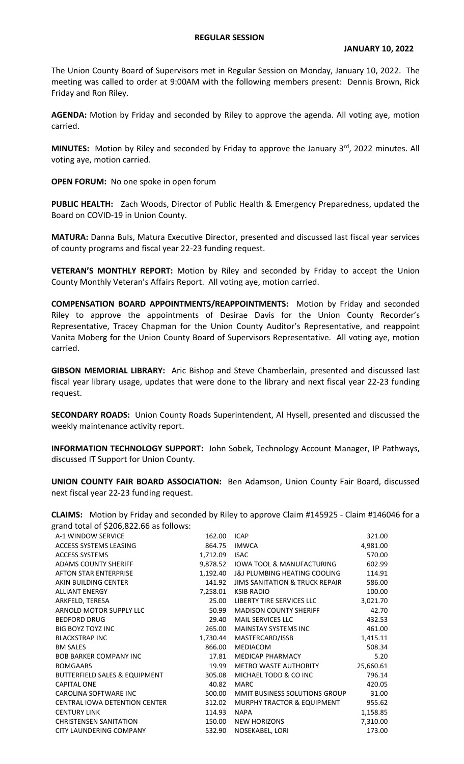## **REGULAR SESSION**

The Union County Board of Supervisors met in Regular Session on Monday, January 10, 2022. The meeting was called to order at 9:00AM with the following members present: Dennis Brown, Rick Friday and Ron Riley.

**AGENDA:** Motion by Friday and seconded by Riley to approve the agenda. All voting aye, motion carried.

**MINUTES:** Motion by Riley and seconded by Friday to approve the January 3<sup>rd</sup>, 2022 minutes. All voting aye, motion carried.

**OPEN FORUM:** No one spoke in open forum

**PUBLIC HEALTH:** Zach Woods, Director of Public Health & Emergency Preparedness, updated the Board on COVID-19 in Union County.

**MATURA:** Danna Buls, Matura Executive Director, presented and discussed last fiscal year services of county programs and fiscal year 22-23 funding request.

**VETERAN'S MONTHLY REPORT:** Motion by Riley and seconded by Friday to accept the Union County Monthly Veteran's Affairs Report. All voting aye, motion carried.

**COMPENSATION BOARD APPOINTMENTS/REAPPOINTMENTS:** Motion by Friday and seconded Riley to approve the appointments of Desirae Davis for the Union County Recorder's Representative, Tracey Chapman for the Union County Auditor's Representative, and reappoint Vanita Moberg for the Union County Board of Supervisors Representative. All voting aye, motion carried.

**GIBSON MEMORIAL LIBRARY:** Aric Bishop and Steve Chamberlain, presented and discussed last fiscal year library usage, updates that were done to the library and next fiscal year 22-23 funding request.

**SECONDARY ROADS:** Union County Roads Superintendent, Al Hysell, presented and discussed the weekly maintenance activity report.

**INFORMATION TECHNOLOGY SUPPORT:** John Sobek, Technology Account Manager, IP Pathways, discussed IT Support for Union County.

**UNION COUNTY FAIR BOARD ASSOCIATION:** Ben Adamson, Union County Fair Board, discussed next fiscal year 22-23 funding request.

**CLAIMS:** Motion by Friday and seconded by Riley to approve Claim #145925 - Claim #146046 for a grand total of \$206,822.66 as follows:

| A-1 WINDOW SERVICE                       | 162.00   | <b>ICAP</b>                               | 321.00    |
|------------------------------------------|----------|-------------------------------------------|-----------|
| ACCESS SYSTEMS LEASING                   | 864.75   | <b>IMWCA</b>                              | 4,981.00  |
| <b>ACCESS SYSTEMS</b>                    | 1,712.09 | <b>ISAC</b>                               | 570.00    |
| <b>ADAMS COUNTY SHERIFF</b>              | 9,878.52 | IOWA TOOL & MANUFACTURING                 | 602.99    |
| <b>AFTON STAR ENTERPRISE</b>             | 1,192.40 | J&J PLUMBING HEATING COOLING              | 114.91    |
| AKIN BUILDING CENTER                     | 141.92   | <b>JIMS SANITATION &amp; TRUCK REPAIR</b> | 586.00    |
| <b>ALLIANT ENERGY</b>                    | 7,258.01 | <b>KSIB RADIO</b>                         | 100.00    |
| ARKFELD, TERESA                          | 25.00    | LIBERTY TIRE SERVICES LLC                 | 3,021.70  |
| ARNOLD MOTOR SUPPLY LLC                  | 50.99    | <b>MADISON COUNTY SHERIFF</b>             | 42.70     |
| <b>BEDFORD DRUG</b>                      | 29.40    | MAIL SERVICES LLC                         | 432.53    |
| <b>BIG BOYZ TOYZ INC</b>                 | 265.00   | <b>MAINSTAY SYSTEMS INC</b>               | 461.00    |
| <b>BLACKSTRAP INC</b>                    | 1,730.44 | MASTERCARD/ISSB                           | 1,415.11  |
| <b>BM SALES</b>                          | 866.00   | MEDIACOM                                  | 508.34    |
| <b>BOB BARKER COMPANY INC</b>            | 17.81    | <b>MEDICAP PHARMACY</b>                   | 5.20      |
| <b>BOMGAARS</b>                          | 19.99    | METRO WASTE AUTHORITY                     | 25,660.61 |
| <b>BUTTERFIELD SALES &amp; EQUIPMENT</b> | 305.08   | MICHAEL TODD & CO INC                     | 796.14    |
| <b>CAPITAL ONE</b>                       | 40.82    | <b>MARC</b>                               | 420.05    |
| CAROLINA SOFTWARE INC                    | 500.00   | MMIT BUSINESS SOLUTIONS GROUP             | 31.00     |
| <b>CENTRAL IOWA DETENTION CENTER</b>     | 312.02   | <b>MURPHY TRACTOR &amp; EQUIPMENT</b>     | 955.62    |
| <b>CENTURY LINK</b>                      | 114.93   | <b>NAPA</b>                               | 1,158.85  |
| <b>CHRISTENSEN SANITATION</b>            | 150.00   | <b>NEW HORIZONS</b>                       | 7,310.00  |
| CITY LAUNDERING COMPANY                  | 532.90   | NOSEKABEL, LORI                           | 173.00    |